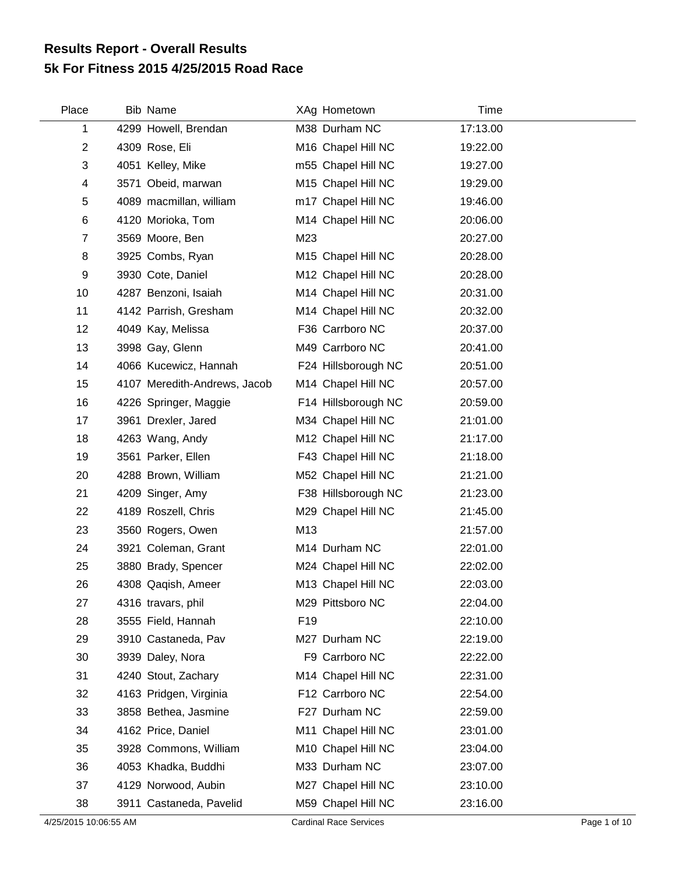## **5k For Fitness 2015 4/25/2015 Road Race Results Report - Overall Results**

| Place          | Bib Name                     |                 | XAg Hometown        | Time     |
|----------------|------------------------------|-----------------|---------------------|----------|
| 1              | 4299 Howell, Brendan         |                 | M38 Durham NC       | 17:13.00 |
| $\overline{c}$ | 4309 Rose, Eli               |                 | M16 Chapel Hill NC  | 19:22.00 |
| 3              | 4051 Kelley, Mike            |                 | m55 Chapel Hill NC  | 19:27.00 |
| 4              | 3571 Obeid, marwan           |                 | M15 Chapel Hill NC  | 19:29.00 |
| 5              | 4089 macmillan, william      |                 | m17 Chapel Hill NC  | 19:46.00 |
| 6              | 4120 Morioka, Tom            |                 | M14 Chapel Hill NC  | 20:06.00 |
| $\overline{7}$ | 3569 Moore, Ben              | M23             |                     | 20:27.00 |
| 8              | 3925 Combs, Ryan             |                 | M15 Chapel Hill NC  | 20:28.00 |
| 9              | 3930 Cote, Daniel            |                 | M12 Chapel Hill NC  | 20:28.00 |
| 10             | 4287 Benzoni, Isaiah         |                 | M14 Chapel Hill NC  | 20:31.00 |
| 11             | 4142 Parrish, Gresham        |                 | M14 Chapel Hill NC  | 20:32.00 |
| 12             | 4049 Kay, Melissa            |                 | F36 Carrboro NC     | 20:37.00 |
| 13             | 3998 Gay, Glenn              |                 | M49 Carrboro NC     | 20:41.00 |
| 14             | 4066 Kucewicz, Hannah        |                 | F24 Hillsborough NC | 20:51.00 |
| 15             | 4107 Meredith-Andrews, Jacob |                 | M14 Chapel Hill NC  | 20:57.00 |
| 16             | 4226 Springer, Maggie        |                 | F14 Hillsborough NC | 20:59.00 |
| 17             | 3961 Drexler, Jared          |                 | M34 Chapel Hill NC  | 21:01.00 |
| 18             | 4263 Wang, Andy              |                 | M12 Chapel Hill NC  | 21:17.00 |
| 19             | 3561 Parker, Ellen           |                 | F43 Chapel Hill NC  | 21:18.00 |
| 20             | 4288 Brown, William          |                 | M52 Chapel Hill NC  | 21:21.00 |
| 21             | 4209 Singer, Amy             |                 | F38 Hillsborough NC | 21:23.00 |
| 22             | 4189 Roszell, Chris          |                 | M29 Chapel Hill NC  | 21:45.00 |
| 23             | 3560 Rogers, Owen            | M13             |                     | 21:57.00 |
| 24             | 3921 Coleman, Grant          |                 | M14 Durham NC       | 22:01.00 |
| 25             | 3880 Brady, Spencer          |                 | M24 Chapel Hill NC  | 22:02.00 |
| 26             | 4308 Qaqish, Ameer           |                 | M13 Chapel Hill NC  | 22:03.00 |
| 27             | 4316 travars, phil           |                 | M29 Pittsboro NC    | 22:04.00 |
| 28             | 3555 Field, Hannah           | F <sub>19</sub> |                     | 22:10.00 |
| 29             | 3910 Castaneda, Pav          |                 | M27 Durham NC       | 22:19.00 |
| 30             | 3939 Daley, Nora             |                 | F9 Carrboro NC      | 22:22.00 |
| 31             | 4240 Stout, Zachary          |                 | M14 Chapel Hill NC  | 22:31.00 |
| 32             | 4163 Pridgen, Virginia       |                 | F12 Carrboro NC     | 22:54.00 |
| 33             | 3858 Bethea, Jasmine         |                 | F27 Durham NC       | 22:59.00 |
| 34             | 4162 Price, Daniel           |                 | M11 Chapel Hill NC  | 23:01.00 |
| 35             | 3928 Commons, William        |                 | M10 Chapel Hill NC  | 23:04.00 |
| 36             | 4053 Khadka, Buddhi          |                 | M33 Durham NC       | 23:07.00 |
| 37             | 4129 Norwood, Aubin          |                 | M27 Chapel Hill NC  | 23:10.00 |
| 38             | 3911 Castaneda, Pavelid      |                 | M59 Chapel Hill NC  | 23:16.00 |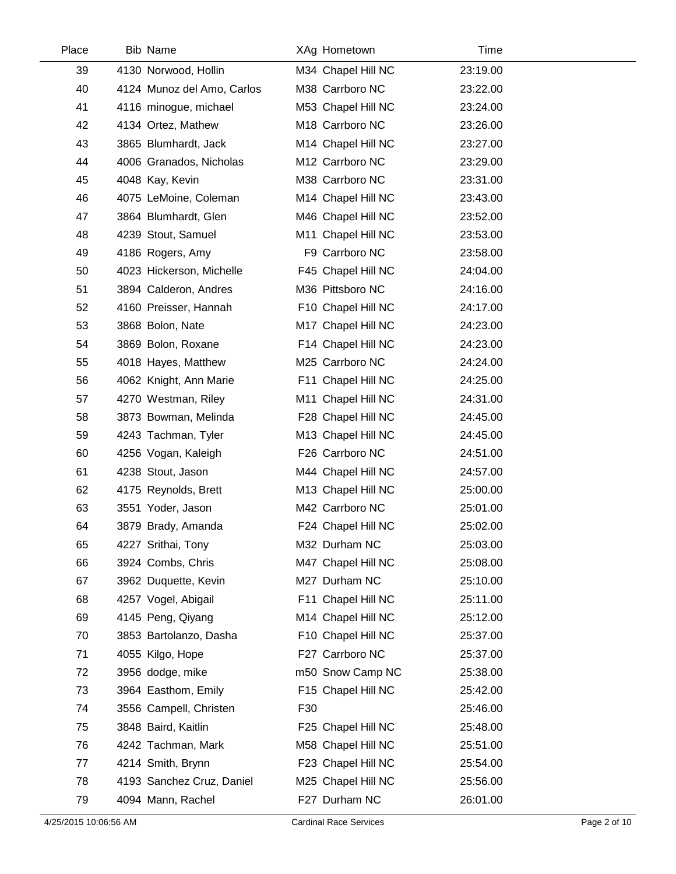| Place | <b>Bib Name</b>            | XAg Hometown       | Time     |  |
|-------|----------------------------|--------------------|----------|--|
| 39    | 4130 Norwood, Hollin       | M34 Chapel Hill NC | 23:19.00 |  |
| 40    | 4124 Munoz del Amo, Carlos | M38 Carrboro NC    | 23:22.00 |  |
| 41    | 4116 minogue, michael      | M53 Chapel Hill NC | 23:24.00 |  |
| 42    | 4134 Ortez, Mathew         | M18 Carrboro NC    | 23:26.00 |  |
| 43    | 3865 Blumhardt, Jack       | M14 Chapel Hill NC | 23:27.00 |  |
| 44    | 4006 Granados, Nicholas    | M12 Carrboro NC    | 23:29.00 |  |
| 45    | 4048 Kay, Kevin            | M38 Carrboro NC    | 23:31.00 |  |
| 46    | 4075 LeMoine, Coleman      | M14 Chapel Hill NC | 23:43.00 |  |
| 47    | 3864 Blumhardt, Glen       | M46 Chapel Hill NC | 23:52.00 |  |
| 48    | 4239 Stout, Samuel         | M11 Chapel Hill NC | 23:53.00 |  |
| 49    | 4186 Rogers, Amy           | F9 Carrboro NC     | 23:58.00 |  |
| 50    | 4023 Hickerson, Michelle   | F45 Chapel Hill NC | 24:04.00 |  |
| 51    | 3894 Calderon, Andres      | M36 Pittsboro NC   | 24:16.00 |  |
| 52    | 4160 Preisser, Hannah      | F10 Chapel Hill NC | 24:17.00 |  |
| 53    | 3868 Bolon, Nate           | M17 Chapel Hill NC | 24:23.00 |  |
| 54    | 3869 Bolon, Roxane         | F14 Chapel Hill NC | 24:23.00 |  |
| 55    | 4018 Hayes, Matthew        | M25 Carrboro NC    | 24:24.00 |  |
| 56    | 4062 Knight, Ann Marie     | F11 Chapel Hill NC | 24:25.00 |  |
| 57    | 4270 Westman, Riley        | M11 Chapel Hill NC | 24:31.00 |  |
| 58    | 3873 Bowman, Melinda       | F28 Chapel Hill NC | 24:45.00 |  |
| 59    | 4243 Tachman, Tyler        | M13 Chapel Hill NC | 24:45.00 |  |
| 60    | 4256 Vogan, Kaleigh        | F26 Carrboro NC    | 24:51.00 |  |
| 61    | 4238 Stout, Jason          | M44 Chapel Hill NC | 24:57.00 |  |
| 62    | 4175 Reynolds, Brett       | M13 Chapel Hill NC | 25:00.00 |  |
| 63    | 3551 Yoder, Jason          | M42 Carrboro NC    | 25:01.00 |  |
| 64    | 3879 Brady, Amanda         | F24 Chapel Hill NC | 25:02.00 |  |
| 65    | 4227 Srithai, Tony         | M32 Durham NC      | 25:03.00 |  |
| 66    | 3924 Combs, Chris          | M47 Chapel Hill NC | 25:08.00 |  |
| 67    | 3962 Duquette, Kevin       | M27 Durham NC      | 25:10.00 |  |
| 68    | 4257 Vogel, Abigail        | F11 Chapel Hill NC | 25:11.00 |  |
| 69    | 4145 Peng, Qiyang          | M14 Chapel Hill NC | 25:12.00 |  |
| 70    | 3853 Bartolanzo, Dasha     | F10 Chapel Hill NC | 25:37.00 |  |
| 71    | 4055 Kilgo, Hope           | F27 Carrboro NC    | 25:37.00 |  |
| 72    | 3956 dodge, mike           | m50 Snow Camp NC   | 25:38.00 |  |
| 73    | 3964 Easthom, Emily        | F15 Chapel Hill NC | 25:42.00 |  |
| 74    | 3556 Campell, Christen     | F30                | 25:46.00 |  |
| 75    | 3848 Baird, Kaitlin        | F25 Chapel Hill NC | 25:48.00 |  |
| 76    | 4242 Tachman, Mark         | M58 Chapel Hill NC | 25:51.00 |  |
| 77    | 4214 Smith, Brynn          | F23 Chapel Hill NC | 25:54.00 |  |
| 78    | 4193 Sanchez Cruz, Daniel  | M25 Chapel Hill NC | 25:56.00 |  |
| 79    | 4094 Mann, Rachel          | F27 Durham NC      | 26:01.00 |  |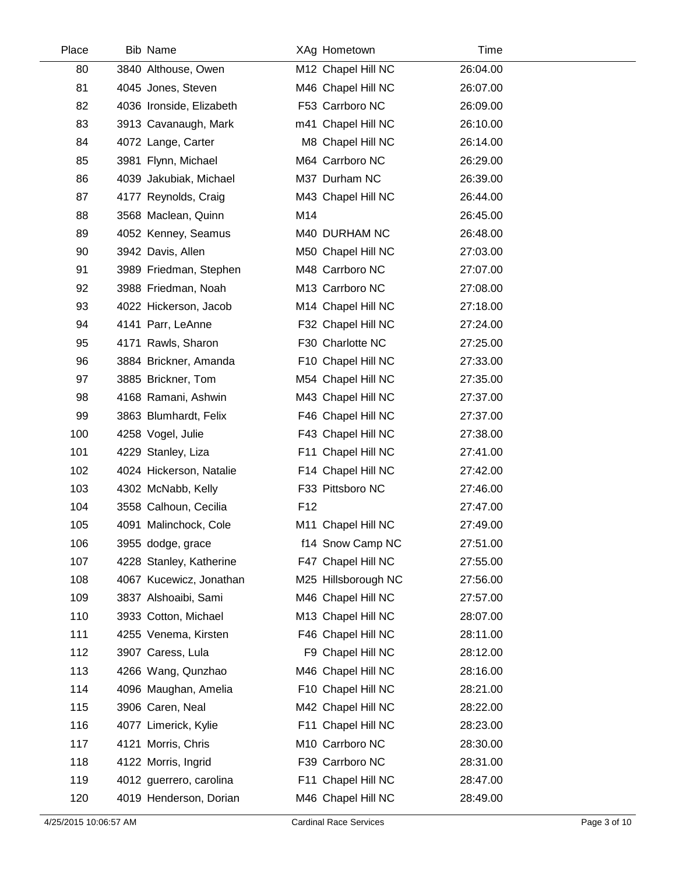| Place | <b>Bib Name</b>          |                 | XAg Hometown        | Time     |
|-------|--------------------------|-----------------|---------------------|----------|
| 80    | 3840 Althouse, Owen      |                 | M12 Chapel Hill NC  | 26:04.00 |
| 81    | 4045 Jones, Steven       |                 | M46 Chapel Hill NC  | 26:07.00 |
| 82    | 4036 Ironside, Elizabeth |                 | F53 Carrboro NC     | 26:09.00 |
| 83    | 3913 Cavanaugh, Mark     |                 | m41 Chapel Hill NC  | 26:10.00 |
| 84    | 4072 Lange, Carter       |                 | M8 Chapel Hill NC   | 26:14.00 |
| 85    | 3981 Flynn, Michael      |                 | M64 Carrboro NC     | 26:29.00 |
| 86    | 4039 Jakubiak, Michael   |                 | M37 Durham NC       | 26:39.00 |
| 87    | 4177 Reynolds, Craig     |                 | M43 Chapel Hill NC  | 26:44.00 |
| 88    | 3568 Maclean, Quinn      | M14             |                     | 26:45.00 |
| 89    | 4052 Kenney, Seamus      |                 | M40 DURHAM NC       | 26:48.00 |
| 90    | 3942 Davis, Allen        |                 | M50 Chapel Hill NC  | 27:03.00 |
| 91    | 3989 Friedman, Stephen   |                 | M48 Carrboro NC     | 27:07.00 |
| 92    | 3988 Friedman, Noah      |                 | M13 Carrboro NC     | 27:08.00 |
| 93    | 4022 Hickerson, Jacob    |                 | M14 Chapel Hill NC  | 27:18.00 |
| 94    | 4141 Parr, LeAnne        |                 | F32 Chapel Hill NC  | 27:24.00 |
| 95    | 4171 Rawls, Sharon       |                 | F30 Charlotte NC    | 27:25.00 |
| 96    | 3884 Brickner, Amanda    |                 | F10 Chapel Hill NC  | 27:33.00 |
| 97    | 3885 Brickner, Tom       |                 | M54 Chapel Hill NC  | 27:35.00 |
| 98    | 4168 Ramani, Ashwin      |                 | M43 Chapel Hill NC  | 27:37.00 |
| 99    | 3863 Blumhardt, Felix    |                 | F46 Chapel Hill NC  | 27:37.00 |
| 100   | 4258 Vogel, Julie        |                 | F43 Chapel Hill NC  | 27:38.00 |
| 101   | 4229 Stanley, Liza       |                 | F11 Chapel Hill NC  | 27:41.00 |
| 102   | 4024 Hickerson, Natalie  |                 | F14 Chapel Hill NC  | 27:42.00 |
| 103   | 4302 McNabb, Kelly       |                 | F33 Pittsboro NC    | 27:46.00 |
| 104   | 3558 Calhoun, Cecilia    | F <sub>12</sub> |                     | 27:47.00 |
| 105   | 4091 Malinchock, Cole    |                 | M11 Chapel Hill NC  | 27:49.00 |
| 106   | 3955 dodge, grace        |                 | f14 Snow Camp NC    | 27:51.00 |
| 107   | 4228 Stanley, Katherine  |                 | F47 Chapel Hill NC  | 27:55.00 |
| 108   | 4067 Kucewicz, Jonathan  |                 | M25 Hillsborough NC | 27:56.00 |
| 109   | 3837 Alshoaibi, Sami     |                 | M46 Chapel Hill NC  | 27:57.00 |
| 110   | 3933 Cotton, Michael     |                 | M13 Chapel Hill NC  | 28:07.00 |
| 111   | 4255 Venema, Kirsten     |                 | F46 Chapel Hill NC  | 28:11.00 |
| 112   | 3907 Caress, Lula        |                 | F9 Chapel Hill NC   | 28:12.00 |
| 113   | 4266 Wang, Qunzhao       |                 | M46 Chapel Hill NC  | 28:16.00 |
| 114   | 4096 Maughan, Amelia     |                 | F10 Chapel Hill NC  | 28:21.00 |
| 115   | 3906 Caren, Neal         |                 | M42 Chapel Hill NC  | 28:22.00 |
| 116   | 4077 Limerick, Kylie     |                 | F11 Chapel Hill NC  | 28:23.00 |
| 117   | 4121 Morris, Chris       |                 | M10 Carrboro NC     | 28:30.00 |
| 118   | 4122 Morris, Ingrid      |                 | F39 Carrboro NC     | 28:31.00 |
| 119   | 4012 guerrero, carolina  |                 | F11 Chapel Hill NC  | 28:47.00 |
| 120   | 4019 Henderson, Dorian   |                 | M46 Chapel Hill NC  | 28:49.00 |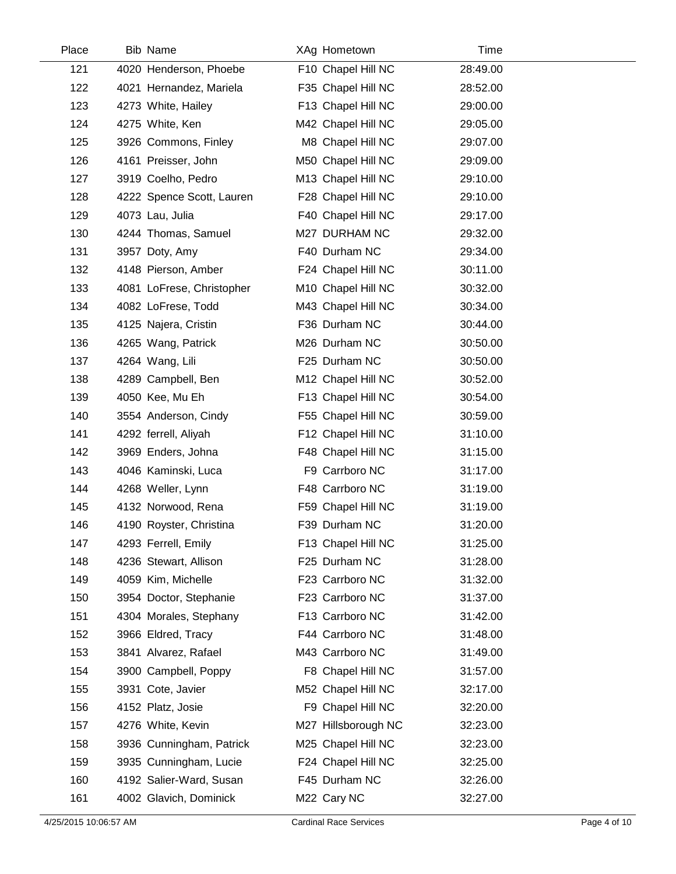| Place | <b>Bib Name</b>           | XAg Hometown        | Time     |  |
|-------|---------------------------|---------------------|----------|--|
| 121   | 4020 Henderson, Phoebe    | F10 Chapel Hill NC  | 28:49.00 |  |
| 122   | 4021 Hernandez, Mariela   | F35 Chapel Hill NC  | 28:52.00 |  |
| 123   | 4273 White, Hailey        | F13 Chapel Hill NC  | 29:00.00 |  |
| 124   | 4275 White, Ken           | M42 Chapel Hill NC  | 29:05.00 |  |
| 125   | 3926 Commons, Finley      | M8 Chapel Hill NC   | 29:07.00 |  |
| 126   | 4161 Preisser, John       | M50 Chapel Hill NC  | 29:09.00 |  |
| 127   | 3919 Coelho, Pedro        | M13 Chapel Hill NC  | 29:10.00 |  |
| 128   | 4222 Spence Scott, Lauren | F28 Chapel Hill NC  | 29:10.00 |  |
| 129   | 4073 Lau, Julia           | F40 Chapel Hill NC  | 29:17.00 |  |
| 130   | 4244 Thomas, Samuel       | M27 DURHAM NC       | 29:32.00 |  |
| 131   | 3957 Doty, Amy            | F40 Durham NC       | 29:34.00 |  |
| 132   | 4148 Pierson, Amber       | F24 Chapel Hill NC  | 30:11.00 |  |
| 133   | 4081 LoFrese, Christopher | M10 Chapel Hill NC  | 30:32.00 |  |
| 134   | 4082 LoFrese, Todd        | M43 Chapel Hill NC  | 30:34.00 |  |
| 135   | 4125 Najera, Cristin      | F36 Durham NC       | 30:44.00 |  |
| 136   | 4265 Wang, Patrick        | M26 Durham NC       | 30:50.00 |  |
| 137   | 4264 Wang, Lili           | F25 Durham NC       | 30:50.00 |  |
| 138   | 4289 Campbell, Ben        | M12 Chapel Hill NC  | 30:52.00 |  |
| 139   | 4050 Kee, Mu Eh           | F13 Chapel Hill NC  | 30:54.00 |  |
| 140   | 3554 Anderson, Cindy      | F55 Chapel Hill NC  | 30:59.00 |  |
| 141   | 4292 ferrell, Aliyah      | F12 Chapel Hill NC  | 31:10.00 |  |
| 142   | 3969 Enders, Johna        | F48 Chapel Hill NC  | 31:15.00 |  |
| 143   | 4046 Kaminski, Luca       | F9 Carrboro NC      | 31:17.00 |  |
| 144   | 4268 Weller, Lynn         | F48 Carrboro NC     | 31:19.00 |  |
| 145   | 4132 Norwood, Rena        | F59 Chapel Hill NC  | 31:19.00 |  |
| 146   | 4190 Royster, Christina   | F39 Durham NC       | 31:20.00 |  |
| 147   | 4293 Ferrell, Emily       | F13 Chapel Hill NC  | 31:25.00 |  |
| 148   | 4236 Stewart, Allison     | F25 Durham NC       | 31:28.00 |  |
| 149   | 4059 Kim, Michelle        | F23 Carrboro NC     | 31:32.00 |  |
| 150   | 3954 Doctor, Stephanie    | F23 Carrboro NC     | 31:37.00 |  |
| 151   | 4304 Morales, Stephany    | F13 Carrboro NC     | 31:42.00 |  |
| 152   | 3966 Eldred, Tracy        | F44 Carrboro NC     | 31:48.00 |  |
| 153   | 3841 Alvarez, Rafael      | M43 Carrboro NC     | 31:49.00 |  |
| 154   | 3900 Campbell, Poppy      | F8 Chapel Hill NC   | 31:57.00 |  |
| 155   | 3931 Cote, Javier         | M52 Chapel Hill NC  | 32:17.00 |  |
| 156   | 4152 Platz, Josie         | F9 Chapel Hill NC   | 32:20.00 |  |
| 157   | 4276 White, Kevin         | M27 Hillsborough NC | 32:23.00 |  |
| 158   | 3936 Cunningham, Patrick  | M25 Chapel Hill NC  | 32:23.00 |  |
| 159   | 3935 Cunningham, Lucie    | F24 Chapel Hill NC  | 32:25.00 |  |
| 160   | 4192 Salier-Ward, Susan   | F45 Durham NC       | 32:26.00 |  |
| 161   | 4002 Glavich, Dominick    | M22 Cary NC         | 32:27.00 |  |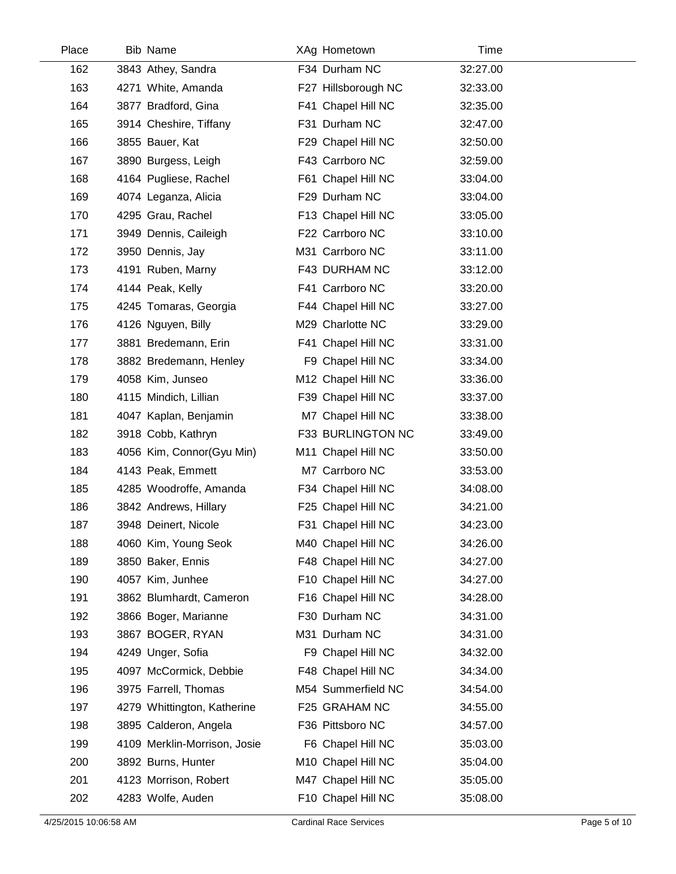| Place | <b>Bib Name</b>              | XAg Hometown        | Time     |
|-------|------------------------------|---------------------|----------|
| 162   | 3843 Athey, Sandra           | F34 Durham NC       | 32:27.00 |
| 163   | 4271 White, Amanda           | F27 Hillsborough NC | 32:33.00 |
| 164   | 3877 Bradford, Gina          | F41 Chapel Hill NC  | 32:35.00 |
| 165   | 3914 Cheshire, Tiffany       | F31 Durham NC       | 32:47.00 |
| 166   | 3855 Bauer, Kat              | F29 Chapel Hill NC  | 32:50.00 |
| 167   | 3890 Burgess, Leigh          | F43 Carrboro NC     | 32:59.00 |
| 168   | 4164 Pugliese, Rachel        | F61 Chapel Hill NC  | 33:04.00 |
| 169   | 4074 Leganza, Alicia         | F29 Durham NC       | 33:04.00 |
| 170   | 4295 Grau, Rachel            | F13 Chapel Hill NC  | 33:05.00 |
| 171   | 3949 Dennis, Caileigh        | F22 Carrboro NC     | 33:10.00 |
| 172   | 3950 Dennis, Jay             | M31 Carrboro NC     | 33:11.00 |
| 173   | 4191 Ruben, Marny            | F43 DURHAM NC       | 33:12.00 |
| 174   | 4144 Peak, Kelly             | F41 Carrboro NC     | 33:20.00 |
| 175   | 4245 Tomaras, Georgia        | F44 Chapel Hill NC  | 33:27.00 |
| 176   | 4126 Nguyen, Billy           | M29 Charlotte NC    | 33:29.00 |
| 177   | 3881 Bredemann, Erin         | F41 Chapel Hill NC  | 33:31.00 |
| 178   | 3882 Bredemann, Henley       | F9 Chapel Hill NC   | 33:34.00 |
| 179   | 4058 Kim, Junseo             | M12 Chapel Hill NC  | 33:36.00 |
| 180   | 4115 Mindich, Lillian        | F39 Chapel Hill NC  | 33:37.00 |
| 181   | 4047 Kaplan, Benjamin        | M7 Chapel Hill NC   | 33:38.00 |
| 182   | 3918 Cobb, Kathryn           | F33 BURLINGTON NC   | 33:49.00 |
| 183   | 4056 Kim, Connor(Gyu Min)    | M11 Chapel Hill NC  | 33:50.00 |
| 184   | 4143 Peak, Emmett            | M7 Carrboro NC      | 33:53.00 |
| 185   | 4285 Woodroffe, Amanda       | F34 Chapel Hill NC  | 34:08.00 |
| 186   | 3842 Andrews, Hillary        | F25 Chapel Hill NC  | 34:21.00 |
| 187   | 3948 Deinert, Nicole         | F31 Chapel Hill NC  | 34:23.00 |
| 188   | 4060 Kim, Young Seok         | M40 Chapel Hill NC  | 34:26.00 |
| 189   | 3850 Baker, Ennis            | F48 Chapel Hill NC  | 34:27.00 |
| 190   | 4057 Kim, Junhee             | F10 Chapel Hill NC  | 34:27.00 |
| 191   | 3862 Blumhardt, Cameron      | F16 Chapel Hill NC  | 34:28.00 |
| 192   | 3866 Boger, Marianne         | F30 Durham NC       | 34:31.00 |
| 193   | 3867 BOGER, RYAN             | M31 Durham NC       | 34:31.00 |
| 194   | 4249 Unger, Sofia            | F9 Chapel Hill NC   | 34:32.00 |
| 195   | 4097 McCormick, Debbie       | F48 Chapel Hill NC  | 34:34.00 |
| 196   | 3975 Farrell, Thomas         | M54 Summerfield NC  | 34:54.00 |
| 197   | 4279 Whittington, Katherine  | F25 GRAHAM NC       | 34:55.00 |
| 198   | 3895 Calderon, Angela        | F36 Pittsboro NC    | 34:57.00 |
| 199   | 4109 Merklin-Morrison, Josie | F6 Chapel Hill NC   | 35:03.00 |
| 200   | 3892 Burns, Hunter           | M10 Chapel Hill NC  | 35:04.00 |
| 201   | 4123 Morrison, Robert        | M47 Chapel Hill NC  | 35:05.00 |
| 202   | 4283 Wolfe, Auden            | F10 Chapel Hill NC  | 35:08.00 |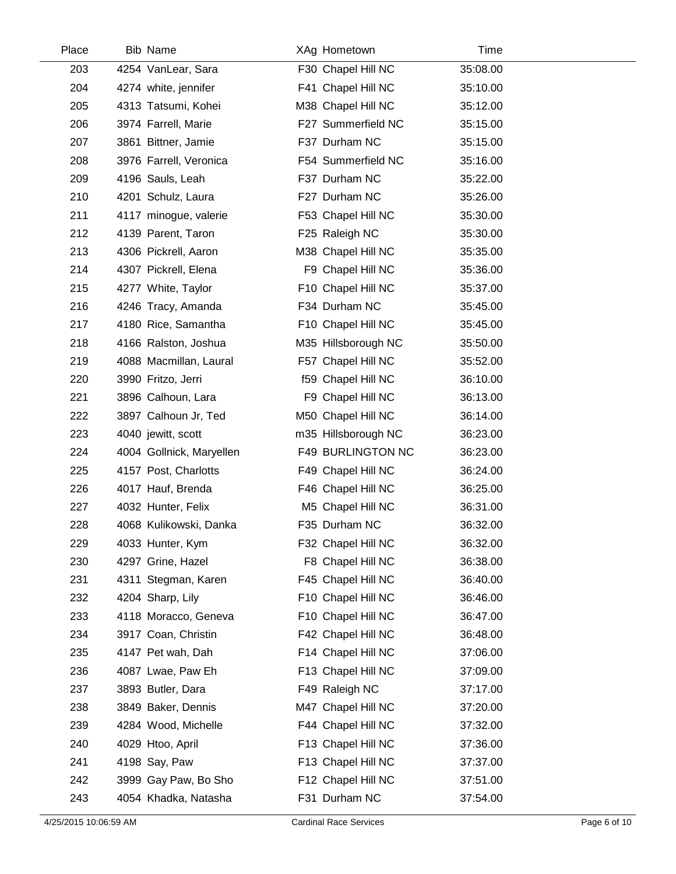| Place | <b>Bib Name</b>          | XAg Hometown        | Time     |  |
|-------|--------------------------|---------------------|----------|--|
| 203   | 4254 VanLear, Sara       | F30 Chapel Hill NC  | 35:08.00 |  |
| 204   | 4274 white, jennifer     | F41 Chapel Hill NC  | 35:10.00 |  |
| 205   | 4313 Tatsumi, Kohei      | M38 Chapel Hill NC  | 35:12.00 |  |
| 206   | 3974 Farrell, Marie      | F27 Summerfield NC  | 35:15.00 |  |
| 207   | 3861 Bittner, Jamie      | F37 Durham NC       | 35:15.00 |  |
| 208   | 3976 Farrell, Veronica   | F54 Summerfield NC  | 35:16.00 |  |
| 209   | 4196 Sauls, Leah         | F37 Durham NC       | 35:22.00 |  |
| 210   | 4201 Schulz, Laura       | F27 Durham NC       | 35:26.00 |  |
| 211   | 4117 minogue, valerie    | F53 Chapel Hill NC  | 35:30.00 |  |
| 212   | 4139 Parent, Taron       | F25 Raleigh NC      | 35:30.00 |  |
| 213   | 4306 Pickrell, Aaron     | M38 Chapel Hill NC  | 35:35.00 |  |
| 214   | 4307 Pickrell, Elena     | F9 Chapel Hill NC   | 35:36.00 |  |
| 215   | 4277 White, Taylor       | F10 Chapel Hill NC  | 35:37.00 |  |
| 216   | 4246 Tracy, Amanda       | F34 Durham NC       | 35:45.00 |  |
| 217   | 4180 Rice, Samantha      | F10 Chapel Hill NC  | 35:45.00 |  |
| 218   | 4166 Ralston, Joshua     | M35 Hillsborough NC | 35:50.00 |  |
| 219   | 4088 Macmillan, Laural   | F57 Chapel Hill NC  | 35:52.00 |  |
| 220   | 3990 Fritzo, Jerri       | f59 Chapel Hill NC  | 36:10.00 |  |
| 221   | 3896 Calhoun, Lara       | F9 Chapel Hill NC   | 36:13.00 |  |
| 222   | 3897 Calhoun Jr, Ted     | M50 Chapel Hill NC  | 36:14.00 |  |
| 223   | 4040 jewitt, scott       | m35 Hillsborough NC | 36:23.00 |  |
| 224   | 4004 Gollnick, Maryellen | F49 BURLINGTON NC   | 36:23.00 |  |
| 225   | 4157 Post, Charlotts     | F49 Chapel Hill NC  | 36:24.00 |  |
| 226   | 4017 Hauf, Brenda        | F46 Chapel Hill NC  | 36:25.00 |  |
| 227   | 4032 Hunter, Felix       | M5 Chapel Hill NC   | 36:31.00 |  |
| 228   | 4068 Kulikowski, Danka   | F35 Durham NC       | 36:32.00 |  |
| 229   | 4033 Hunter, Kym         | F32 Chapel Hill NC  | 36:32.00 |  |
| 230   | 4297 Grine, Hazel        | F8 Chapel Hill NC   | 36:38.00 |  |
| 231   | 4311 Stegman, Karen      | F45 Chapel Hill NC  | 36:40.00 |  |
| 232   | 4204 Sharp, Lily         | F10 Chapel Hill NC  | 36:46.00 |  |
| 233   | 4118 Moracco, Geneva     | F10 Chapel Hill NC  | 36:47.00 |  |
| 234   | 3917 Coan, Christin      | F42 Chapel Hill NC  | 36:48.00 |  |
| 235   | 4147 Pet wah, Dah        | F14 Chapel Hill NC  | 37:06.00 |  |
| 236   | 4087 Lwae, Paw Eh        | F13 Chapel Hill NC  | 37:09.00 |  |
| 237   | 3893 Butler, Dara        | F49 Raleigh NC      | 37:17.00 |  |
| 238   | 3849 Baker, Dennis       | M47 Chapel Hill NC  | 37:20.00 |  |
| 239   | 4284 Wood, Michelle      | F44 Chapel Hill NC  | 37:32.00 |  |
| 240   | 4029 Htoo, April         | F13 Chapel Hill NC  | 37:36.00 |  |
| 241   | 4198 Say, Paw            | F13 Chapel Hill NC  | 37:37.00 |  |
| 242   | 3999 Gay Paw, Bo Sho     | F12 Chapel Hill NC  | 37:51.00 |  |
| 243   | 4054 Khadka, Natasha     | F31 Durham NC       | 37:54.00 |  |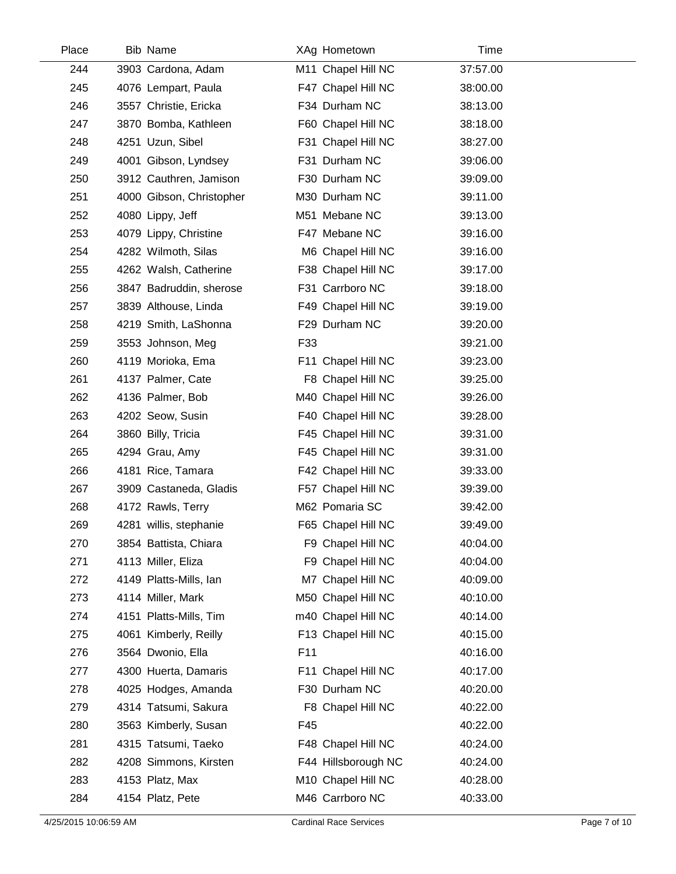| Place | <b>Bib Name</b>          |     | XAg Hometown        | Time     |  |
|-------|--------------------------|-----|---------------------|----------|--|
| 244   | 3903 Cardona, Adam       |     | M11 Chapel Hill NC  | 37:57.00 |  |
| 245   | 4076 Lempart, Paula      |     | F47 Chapel Hill NC  | 38:00.00 |  |
| 246   | 3557 Christie, Ericka    |     | F34 Durham NC       | 38:13.00 |  |
| 247   | 3870 Bomba, Kathleen     |     | F60 Chapel Hill NC  | 38:18.00 |  |
| 248   | 4251 Uzun, Sibel         |     | F31 Chapel Hill NC  | 38:27.00 |  |
| 249   | 4001 Gibson, Lyndsey     |     | F31 Durham NC       | 39:06.00 |  |
| 250   | 3912 Cauthren, Jamison   |     | F30 Durham NC       | 39:09.00 |  |
| 251   | 4000 Gibson, Christopher |     | M30 Durham NC       | 39:11.00 |  |
| 252   | 4080 Lippy, Jeff         |     | M51 Mebane NC       | 39:13.00 |  |
| 253   | 4079 Lippy, Christine    |     | F47 Mebane NC       | 39:16.00 |  |
| 254   | 4282 Wilmoth, Silas      |     | M6 Chapel Hill NC   | 39:16.00 |  |
| 255   | 4262 Walsh, Catherine    |     | F38 Chapel Hill NC  | 39:17.00 |  |
| 256   | 3847 Badruddin, sherose  |     | F31 Carrboro NC     | 39:18.00 |  |
| 257   | 3839 Althouse, Linda     |     | F49 Chapel Hill NC  | 39:19.00 |  |
| 258   | 4219 Smith, LaShonna     |     | F29 Durham NC       | 39:20.00 |  |
| 259   | 3553 Johnson, Meg        | F33 |                     | 39:21.00 |  |
| 260   | 4119 Morioka, Ema        |     | F11 Chapel Hill NC  | 39:23.00 |  |
| 261   | 4137 Palmer, Cate        |     | F8 Chapel Hill NC   | 39:25.00 |  |
| 262   | 4136 Palmer, Bob         |     | M40 Chapel Hill NC  | 39:26.00 |  |
| 263   | 4202 Seow, Susin         |     | F40 Chapel Hill NC  | 39:28.00 |  |
| 264   | 3860 Billy, Tricia       |     | F45 Chapel Hill NC  | 39:31.00 |  |
| 265   | 4294 Grau, Amy           |     | F45 Chapel Hill NC  | 39:31.00 |  |
| 266   | 4181 Rice, Tamara        |     | F42 Chapel Hill NC  | 39:33.00 |  |
| 267   | 3909 Castaneda, Gladis   |     | F57 Chapel Hill NC  | 39:39.00 |  |
| 268   | 4172 Rawls, Terry        |     | M62 Pomaria SC      | 39:42.00 |  |
| 269   | 4281 willis, stephanie   |     | F65 Chapel Hill NC  | 39:49.00 |  |
| 270   | 3854 Battista, Chiara    |     | F9 Chapel Hill NC   | 40:04.00 |  |
| 271   | 4113 Miller, Eliza       |     | F9 Chapel Hill NC   | 40:04.00 |  |
| 272   | 4149 Platts-Mills, Ian   |     | M7 Chapel Hill NC   | 40:09.00 |  |
| 273   | 4114 Miller, Mark        |     | M50 Chapel Hill NC  | 40:10.00 |  |
| 274   | 4151 Platts-Mills, Tim   |     | m40 Chapel Hill NC  | 40:14.00 |  |
| 275   | 4061 Kimberly, Reilly    |     | F13 Chapel Hill NC  | 40:15.00 |  |
| 276   | 3564 Dwonio, Ella        | F11 |                     | 40:16.00 |  |
| 277   | 4300 Huerta, Damaris     |     | F11 Chapel Hill NC  | 40:17.00 |  |
| 278   | 4025 Hodges, Amanda      |     | F30 Durham NC       | 40:20.00 |  |
| 279   | 4314 Tatsumi, Sakura     |     | F8 Chapel Hill NC   | 40:22.00 |  |
| 280   | 3563 Kimberly, Susan     | F45 |                     | 40:22.00 |  |
| 281   | 4315 Tatsumi, Taeko      |     | F48 Chapel Hill NC  | 40:24.00 |  |
| 282   | 4208 Simmons, Kirsten    |     | F44 Hillsborough NC | 40:24.00 |  |
| 283   | 4153 Platz, Max          |     | M10 Chapel Hill NC  | 40:28.00 |  |
| 284   | 4154 Platz, Pete         |     | M46 Carrboro NC     | 40:33.00 |  |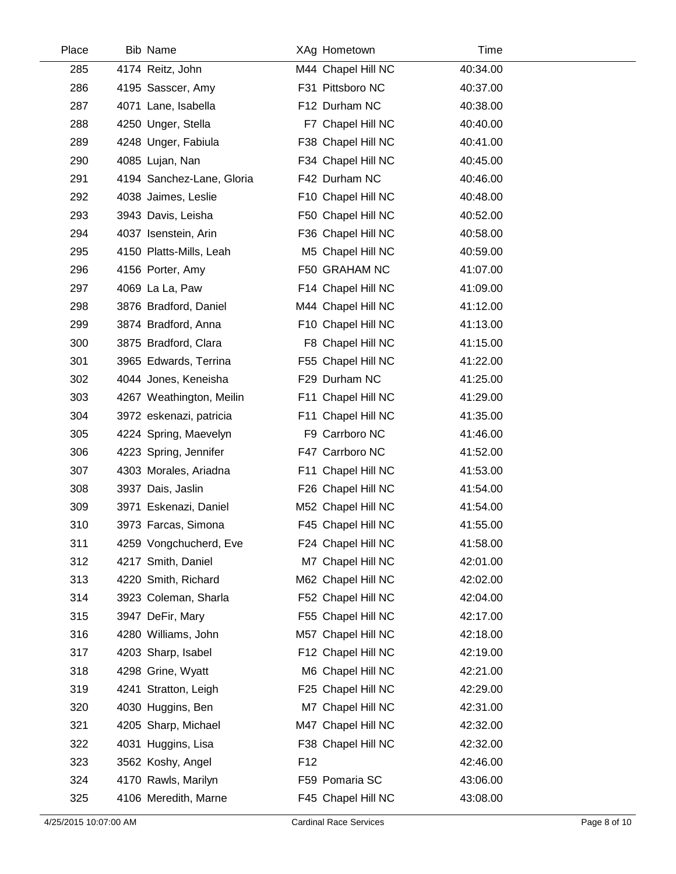| Place | <b>Bib Name</b>           | XAg Hometown       | Time     |  |
|-------|---------------------------|--------------------|----------|--|
| 285   | 4174 Reitz, John          | M44 Chapel Hill NC | 40:34.00 |  |
| 286   | 4195 Sasscer, Amy         | F31 Pittsboro NC   | 40:37.00 |  |
| 287   | 4071 Lane, Isabella       | F12 Durham NC      | 40:38.00 |  |
| 288   | 4250 Unger, Stella        | F7 Chapel Hill NC  | 40:40.00 |  |
| 289   | 4248 Unger, Fabiula       | F38 Chapel Hill NC | 40:41.00 |  |
| 290   | 4085 Lujan, Nan           | F34 Chapel Hill NC | 40:45.00 |  |
| 291   | 4194 Sanchez-Lane, Gloria | F42 Durham NC      | 40:46.00 |  |
| 292   | 4038 Jaimes, Leslie       | F10 Chapel Hill NC | 40:48.00 |  |
| 293   | 3943 Davis, Leisha        | F50 Chapel Hill NC | 40:52.00 |  |
| 294   | 4037 Isenstein, Arin      | F36 Chapel Hill NC | 40:58.00 |  |
| 295   | 4150 Platts-Mills, Leah   | M5 Chapel Hill NC  | 40:59.00 |  |
| 296   | 4156 Porter, Amy          | F50 GRAHAM NC      | 41:07.00 |  |
| 297   | 4069 La La, Paw           | F14 Chapel Hill NC | 41:09.00 |  |
| 298   | 3876 Bradford, Daniel     | M44 Chapel Hill NC | 41:12.00 |  |
| 299   | 3874 Bradford, Anna       | F10 Chapel Hill NC | 41:13.00 |  |
| 300   | 3875 Bradford, Clara      | F8 Chapel Hill NC  | 41:15.00 |  |
| 301   | 3965 Edwards, Terrina     | F55 Chapel Hill NC | 41:22.00 |  |
| 302   | 4044 Jones, Keneisha      | F29 Durham NC      | 41:25.00 |  |
| 303   | 4267 Weathington, Meilin  | F11 Chapel Hill NC | 41:29.00 |  |
| 304   | 3972 eskenazi, patricia   | F11 Chapel Hill NC | 41:35.00 |  |
| 305   | 4224 Spring, Maevelyn     | F9 Carrboro NC     | 41:46.00 |  |
| 306   | 4223 Spring, Jennifer     | F47 Carrboro NC    | 41:52.00 |  |
| 307   | 4303 Morales, Ariadna     | F11 Chapel Hill NC | 41:53.00 |  |
| 308   | 3937 Dais, Jaslin         | F26 Chapel Hill NC | 41:54.00 |  |
| 309   | 3971 Eskenazi, Daniel     | M52 Chapel Hill NC | 41:54.00 |  |
| 310   | 3973 Farcas, Simona       | F45 Chapel Hill NC | 41:55.00 |  |
| 311   | 4259 Vongchucherd, Eve    | F24 Chapel Hill NC | 41:58.00 |  |
| 312   | 4217 Smith, Daniel        | M7 Chapel Hill NC  | 42:01.00 |  |
| 313   | 4220 Smith, Richard       | M62 Chapel Hill NC | 42:02.00 |  |
| 314   | 3923 Coleman, Sharla      | F52 Chapel Hill NC | 42:04.00 |  |
| 315   | 3947 DeFir, Mary          | F55 Chapel Hill NC | 42:17.00 |  |
| 316   | 4280 Williams, John       | M57 Chapel Hill NC | 42:18.00 |  |
| 317   | 4203 Sharp, Isabel        | F12 Chapel Hill NC | 42:19.00 |  |
| 318   | 4298 Grine, Wyatt         | M6 Chapel Hill NC  | 42:21.00 |  |
| 319   | 4241 Stratton, Leigh      | F25 Chapel Hill NC | 42:29.00 |  |
| 320   | 4030 Huggins, Ben         | M7 Chapel Hill NC  | 42:31.00 |  |
| 321   | 4205 Sharp, Michael       | M47 Chapel Hill NC | 42:32.00 |  |
| 322   | 4031 Huggins, Lisa        | F38 Chapel Hill NC | 42:32.00 |  |
| 323   | 3562 Koshy, Angel         | F <sub>12</sub>    | 42:46.00 |  |
| 324   | 4170 Rawls, Marilyn       | F59 Pomaria SC     | 43:06.00 |  |
| 325   | 4106 Meredith, Marne      | F45 Chapel Hill NC | 43:08.00 |  |
|       |                           |                    |          |  |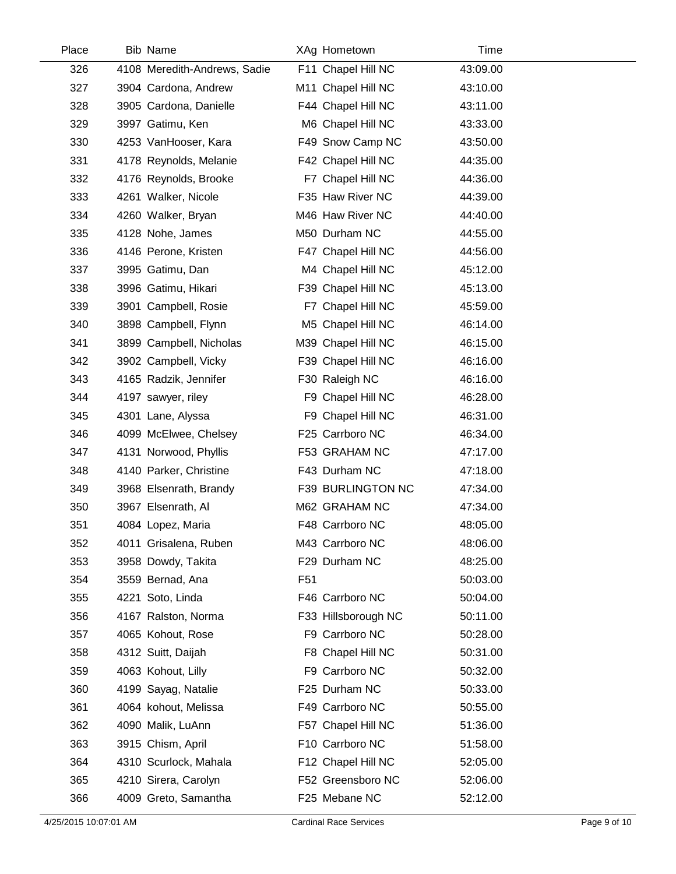| Place | <b>Bib Name</b>              |                 | XAg Hometown        | Time     |  |
|-------|------------------------------|-----------------|---------------------|----------|--|
| 326   | 4108 Meredith-Andrews, Sadie |                 | F11 Chapel Hill NC  | 43:09.00 |  |
| 327   | 3904 Cardona, Andrew         |                 | M11 Chapel Hill NC  | 43:10.00 |  |
| 328   | 3905 Cardona, Danielle       |                 | F44 Chapel Hill NC  | 43:11.00 |  |
| 329   | 3997 Gatimu, Ken             |                 | M6 Chapel Hill NC   | 43:33.00 |  |
| 330   | 4253 VanHooser, Kara         |                 | F49 Snow Camp NC    | 43:50.00 |  |
| 331   | 4178 Reynolds, Melanie       |                 | F42 Chapel Hill NC  | 44:35.00 |  |
| 332   | 4176 Reynolds, Brooke        |                 | F7 Chapel Hill NC   | 44:36.00 |  |
| 333   | 4261 Walker, Nicole          |                 | F35 Haw River NC    | 44:39.00 |  |
| 334   | 4260 Walker, Bryan           |                 | M46 Haw River NC    | 44:40.00 |  |
| 335   | 4128 Nohe, James             |                 | M50 Durham NC       | 44:55.00 |  |
| 336   | 4146 Perone, Kristen         |                 | F47 Chapel Hill NC  | 44:56.00 |  |
| 337   | 3995 Gatimu, Dan             |                 | M4 Chapel Hill NC   | 45:12.00 |  |
| 338   | 3996 Gatimu, Hikari          |                 | F39 Chapel Hill NC  | 45:13.00 |  |
| 339   | 3901 Campbell, Rosie         |                 | F7 Chapel Hill NC   | 45:59.00 |  |
| 340   | 3898 Campbell, Flynn         |                 | M5 Chapel Hill NC   | 46:14.00 |  |
| 341   | 3899 Campbell, Nicholas      |                 | M39 Chapel Hill NC  | 46:15.00 |  |
| 342   | 3902 Campbell, Vicky         |                 | F39 Chapel Hill NC  | 46:16.00 |  |
| 343   | 4165 Radzik, Jennifer        |                 | F30 Raleigh NC      | 46:16.00 |  |
| 344   | 4197 sawyer, riley           |                 | F9 Chapel Hill NC   | 46:28.00 |  |
| 345   | 4301 Lane, Alyssa            |                 | F9 Chapel Hill NC   | 46:31.00 |  |
| 346   | 4099 McElwee, Chelsey        |                 | F25 Carrboro NC     | 46:34.00 |  |
| 347   | 4131 Norwood, Phyllis        |                 | F53 GRAHAM NC       | 47:17.00 |  |
| 348   | 4140 Parker, Christine       |                 | F43 Durham NC       | 47:18.00 |  |
| 349   | 3968 Elsenrath, Brandy       |                 | F39 BURLINGTON NC   | 47:34.00 |  |
| 350   | 3967 Elsenrath, Al           |                 | M62 GRAHAM NC       | 47:34.00 |  |
| 351   | 4084 Lopez, Maria            |                 | F48 Carrboro NC     | 48:05.00 |  |
| 352   | 4011 Grisalena, Ruben        |                 | M43 Carrboro NC     | 48:06.00 |  |
| 353   | 3958 Dowdy, Takita           |                 | F29 Durham NC       | 48:25.00 |  |
| 354   | 3559 Bernad, Ana             | F <sub>51</sub> |                     | 50:03.00 |  |
| 355   | 4221 Soto, Linda             |                 | F46 Carrboro NC     | 50:04.00 |  |
| 356   | 4167 Ralston, Norma          |                 | F33 Hillsborough NC | 50:11.00 |  |
| 357   | 4065 Kohout, Rose            |                 | F9 Carrboro NC      | 50:28.00 |  |
| 358   | 4312 Suitt, Daijah           |                 | F8 Chapel Hill NC   | 50:31.00 |  |
| 359   | 4063 Kohout, Lilly           |                 | F9 Carrboro NC      | 50:32.00 |  |
| 360   | 4199 Sayag, Natalie          |                 | F25 Durham NC       | 50:33.00 |  |
| 361   | 4064 kohout, Melissa         |                 | F49 Carrboro NC     | 50:55.00 |  |
| 362   | 4090 Malik, LuAnn            |                 | F57 Chapel Hill NC  | 51:36.00 |  |
| 363   | 3915 Chism, April            |                 | F10 Carrboro NC     | 51:58.00 |  |
| 364   | 4310 Scurlock, Mahala        |                 | F12 Chapel Hill NC  | 52:05.00 |  |
| 365   | 4210 Sirera, Carolyn         |                 | F52 Greensboro NC   | 52:06.00 |  |
| 366   | 4009 Greto, Samantha         |                 | F25 Mebane NC       | 52:12.00 |  |